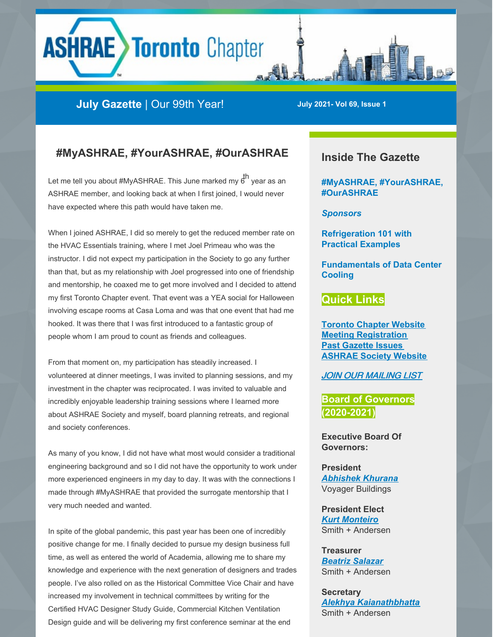# **ASHRAE Toronto Chapter**

# **July Gazette** | Our 99th Year! **July 2021- Vol 69, Issue <sup>1</sup>**

## **#MyASHRAE, #YourASHRAE, #OurASHRAE**

Let me tell you about #MyASHRAE. This June marked my 6<sup>th</sup> year as an ASHRAE member, and looking back at when I first joined, I would never have expected where this path would have taken me.

When I joined ASHRAE, I did so merely to get the reduced member rate on the HVAC Essentials training, where I met Joel Primeau who was the instructor. I did not expect my participation in the Society to go any further than that, but as my relationship with Joel progressed into one of friendship and mentorship, he coaxed me to get more involved and I decided to attend my first Toronto Chapter event. That event was a YEA social for Halloween involving escape rooms at Casa Loma and was that one event that had me hooked. It was there that I was first introduced to a fantastic group of people whom I am proud to count as friends and colleagues.

From that moment on, my participation has steadily increased. I volunteered at dinner meetings, I was invited to planning sessions, and my investment in the chapter was reciprocated. I was invited to valuable and incredibly enjoyable leadership training sessions where I learned more about ASHRAE Society and myself, board planning retreats, and regional and society conferences.

As many of you know, I did not have what most would consider a traditional engineering background and so I did not have the opportunity to work under more experienced engineers in my day to day. It was with the connections I made through #MyASHRAE that provided the surrogate mentorship that I very much needed and wanted.

In spite of the global pandemic, this past year has been one of incredibly positive change for me. I finally decided to pursue my design business full time, as well as entered the world of Academia, allowing me to share my knowledge and experience with the next generation of designers and trades people. I've also rolled on as the Historical Committee Vice Chair and have increased my involvement in technical committees by writing for the Certified HVAC Designer Study Guide, Commercial Kitchen Ventilation Design guide and will be delivering my first conference seminar at the end

## **Inside The Gazette**

**#MyASHRAE, #YourASHRAE, #OurASHRAE**

*Sponsors*

**Refrigeration 101 with Practical Examples**

**Fundamentals of Data Center Cooling**

#### **Quick Links**

**Toronto Chapter [Website](http://www.torontoashrae.com/) Meeting [Registration](http://www.torontoashrae.com/page-374073?) Past [Gazette](http://www.torontoashrae.com/page-374083?) Issues [ASHRAE](https://www.ashrae.org/) Society Website**

JOIN OUR [MAILING](https://visitor.r20.constantcontact.com/manage/optin?v=001DFTCDgfTjajn9SeeMfLzSr8JaA4oVlQA) LIST

**Board of Governors (2020-2021)**

**Executive Board Of Governors:**

**President** *[Abhishek](mailto:ashrae.abhi@gmail.com) Khurana* Voyager Buildings

**President Elect** *Kurt [Monteiro](mailto:Kurt.Monteiro@smithandandersen.com)* Smith + Andersen

**Treasurer** *Beatriz [Salazar](mailto:bo.salazarg@gmail.com)* Smith + Andersen

**Secretary** *Alekhya [Kaianathbhatta](mailto:alekhya_k@rogers.com)* Smith + Andersen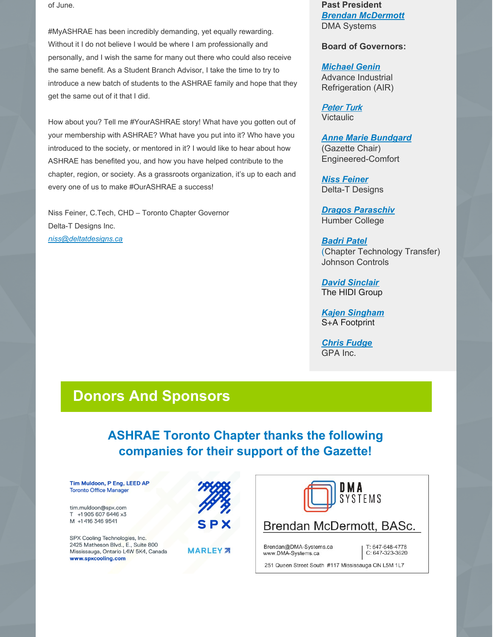of June.

#MyASHRAE has been incredibly demanding, yet equally rewarding. Without it I do not believe I would be where I am professionally and personally, and I wish the same for many out there who could also receive the same benefit. As a Student Branch Advisor, I take the time to try to introduce a new batch of students to the ASHRAE family and hope that they get the same out of it that I did.

How about you? Tell me #YourASHRAE story! What have you gotten out of your membership with ASHRAE? What have you put into it? Who have you introduced to the society, or mentored in it? I would like to hear about how ASHRAE has benefited you, and how you have helped contribute to the chapter, region, or society. As a grassroots organization, it's up to each and every one of us to make #OurASHRAE a success!

Niss Feiner, C.Tech, CHD – Toronto Chapter Governor Delta-T Designs Inc. *[niss@deltatdesigns.ca](mailto:niss@deltatdesigns.ca)*

**Past President** *Brendan [McDermott](mailto:mcdermott.bcb@gmail.com)* DMA Systems

**Board of Governors:**

*[Michael](mailto:mikegenin@gmail.com) Genin* Advance Industrial Refrigeration (AIR)

[Peter](mailto:Peter.Turk@victaulic.com) Turk Victaulic

*Anne Marie [Bundgard](mailto:abundgard@engineered-comfort.ca)*

(Gazette Chair) Engineered-Comfort

*Niss [Feiner](mailto:niss@deltatdesigns.ca)* Delta-T Designs

*Dragos [Paraschiv](mailto:Dragos.Paraschiv@humber.ca)* Humber College

*[Badri](mailto:baedri@yahoo.com) Patel* (Chapter Technology Transfer) Johnson Controls

*David [Sinclair](mailto:david.sinclair@hidi.com)* The HIDI Group

*Kajen [Singham](mailto:kajen777@gmail.com)* S+A Footprint

*Chris [Fudge](mailto:cfudge@gpainc.ca)* GPA Inc.

# **Donors And Sponsors**

# **ASHRAE Toronto Chapter thanks the following companies for their support of the Gazette!**

Tim Muldoon, P Eng, LEED AP **Toronto Office Manager** 

tim.muldoon@spx.com T +1905 607 6446 x3 M +1 416 346 9541

SPX Cooling Technologies, Inc. 2425 Matheson Blvd., E., Suite 800 Mississauga, Ontario L4W 5K4, Canada www.spxcooling.com



**MARLEY** 28



Brendan@DMA-Systems.ca www.DMA-Systems.ca

251 Queen Street South #117 Mississauga ON L5M 1L7

T: 647-648-4778

C: 647-323-3620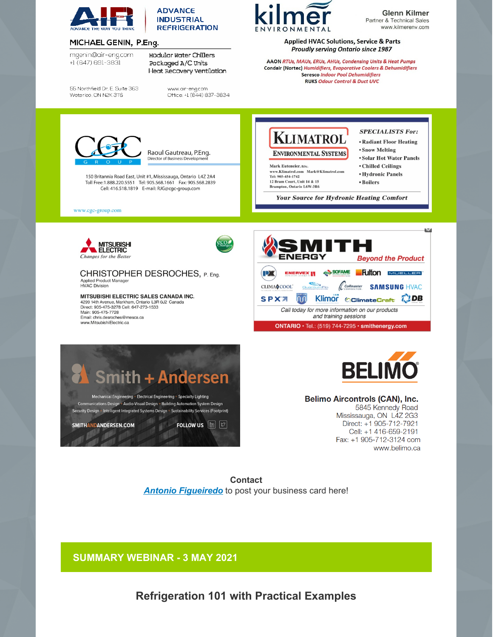



#### MICHAEL GENIN, P.Eng.

mgenin@air-eng.com +1 (647) 691-3831

55 Northfield Dr. E. Suite 363 Woterloo, ON N2K 3T6

**Modular Water Chillers** Packaged A/C Units Heat Recovery Ventilation

> www.air-eng.com Office: +1 (844) 837-3834



**Glenn Kilmer** Partner & Technical Sales www.kilmereny.com

**Applied HVAC Solutions, Service & Parts Proudly serving Ontario since 1987** 

AAON RTUs, MAUs, ERUs, AHUs, Condensing Units & Heat Pumps Condair (Nortec) Humidifiers, Evaporative Coolers & Dehumidifiers **Seresco Indoor Pool Dehumidifiers RUKS Odour Control & Duct UVC** 



Raoul Gautreau, P.Eng. Director of Business Development

150 Britannia Road East, Unit #1, Mississauga, Ontario L4Z 2A4 Toll Free:1.888.220.5551 Tel: 905.568.1661 Fax: 905.568.2839 Cell: 416.518.1819 E-mail: RJG@cgc-group.com

www.cgc-group.com



12 Bram Court, Unit 14 & 15

**Brampton, Ontario L6W-3R6** 

**SPECIALISTS For:** 

- Radiant Floor Heating
- Snow Melting
- Solar Hot Water Panels
- Chilled Ceilings
- **Hydronic Panels**
- Boilers

**Your Source for Hydronic Heating Comfort** 

**MITSUBISHI ELECTRIC Changes for the Better** 

CHRISTOPHER DESROCHES, P. Eng. Applied Product Manager **HVAC Division** 

MITSUBISHI ELECTRIC SALES CANADA INC. 4299 14th Avenue, Markham, Ontario L3R 0J2 Canada Direct: 905-475-3278 Cell: 647-273-1533<br>Main: 905-475-7728 Email: chris.desroches@mesca.ca www.MitsubishiElectric.ca







#### **Belimo Aircontrols (CAN), Inc.**

5845 Kennedy Road Mississauga, ON L4Z 2G3 Direct: +1 905-712-7921 Cell: +1 416-659-2191 Fax: +1 905-712-3124 com www.belimo.ca

**Contact Antonio Figueiredo** to post your business card here!

**SUMMARY WEBINAR - 3 MAY 2021** 

**Refrigeration 101 with Practical Examples**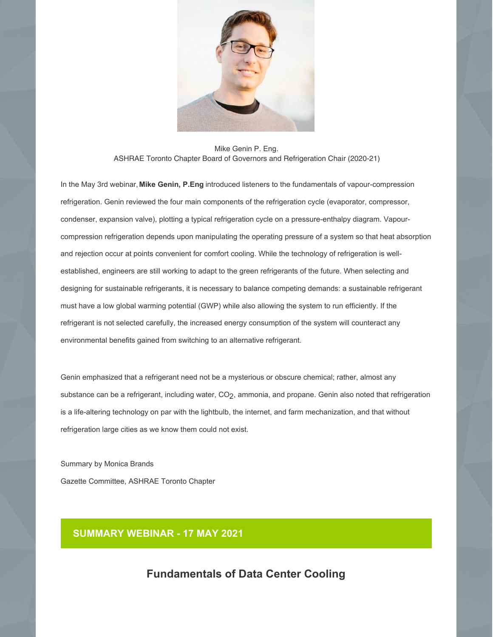

Mike Genin P. Eng. ASHRAE Toronto Chapter Board of Governors and Refrigeration Chair (2020-21)

In the May 3rd webinar, **Mike Genin, P.Eng** introduced listeners to the fundamentals of vapour-compression refrigeration. Genin reviewed the four main components of the refrigeration cycle (evaporator, compressor, condenser, expansion valve), plotting a typical refrigeration cycle on a pressure-enthalpy diagram. Vapourcompression refrigeration depends upon manipulating the operating pressure of a system so that heat absorption and rejection occur at points convenient for comfort cooling. While the technology of refrigeration is wellestablished, engineers are still working to adapt to the green refrigerants of the future. When selecting and designing for sustainable refrigerants, it is necessary to balance competing demands: a sustainable refrigerant must have a low global warming potential (GWP) while also allowing the system to run efficiently. If the refrigerant is not selected carefully, the increased energy consumption of the system will counteract any environmental benefits gained from switching to an alternative refrigerant.

Genin emphasized that a refrigerant need not be a mysterious or obscure chemical; rather, almost any substance can be a refrigerant, including water, CO<sub>2</sub>, ammonia, and propane. Genin also noted that refrigeration is a life-altering technology on par with the lightbulb, the internet, and farm mechanization, and that without refrigeration large cities as we know them could not exist.

Summary by Monica Brands Gazette Committee, ASHRAE Toronto Chapter

## **SUMMARY WEBINAR - 17 MAY 2021**

## **Fundamentals of Data Center Cooling**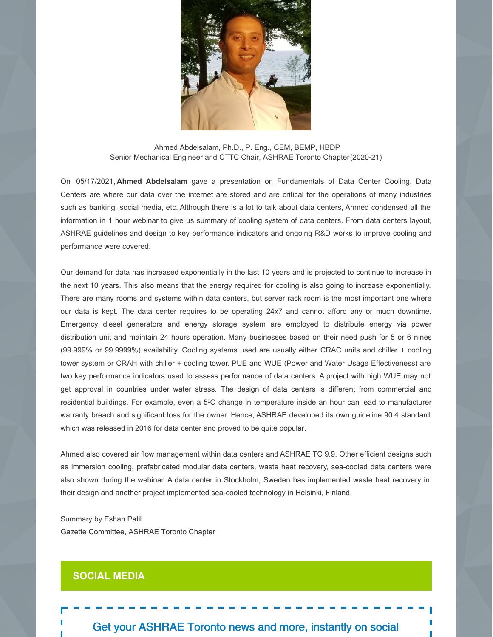

Ahmed Abdelsalam, Ph.D., P. Eng., CEM, BEMP, HBDP Senior Mechanical Engineer and CTTC Chair, ASHRAE Toronto Chapter(2020-21)

On 05/17/2021, **Ahmed Abdelsalam** gave a presentation on Fundamentals of Data Center Cooling. Data Centers are where our data over the internet are stored and are critical for the operations of many industries such as banking, social media, etc. Although there is a lot to talk about data centers, Ahmed condensed all the information in 1 hour webinar to give us summary of cooling system of data centers. From data centers layout, ASHRAE guidelines and design to key performance indicators and ongoing R&D works to improve cooling and performance were covered.

Our demand for data has increased exponentially in the last 10 years and is projected to continue to increase in the next 10 years. This also means that the energy required for cooling is also going to increase exponentially. There are many rooms and systems within data centers, but server rack room is the most important one where our data is kept. The data center requires to be operating 24x7 and cannot afford any or much downtime. Emergency diesel generators and energy storage system are employed to distribute energy via power distribution unit and maintain 24 hours operation. Many businesses based on their need push for 5 or 6 nines (99.999% or 99.9999%) availability. Cooling systems used are usually either CRAC units and chiller + cooling tower system or CRAH with chiller + cooling tower. PUE and WUE (Power and Water Usage Effectiveness) are two key performance indicators used to assess performance of data centers. A project with high WUE may not get approval in countries under water stress. The design of data centers is different from commercial and residential buildings. For example, even a 5°C change in temperature inside an hour can lead to manufacturer warranty breach and significant loss for the owner. Hence, ASHRAE developed its own guideline 90.4 standard which was released in 2016 for data center and proved to be quite popular.

Ahmed also covered air flow management within data centers and ASHRAE TC 9.9. Other efficient designs such as immersion cooling, prefabricated modular data centers, waste heat recovery, sea-cooled data centers were also shown during the webinar. A data center in Stockholm, Sweden has implemented waste heat recovery in their design and another project implemented sea-cooled technology in Helsinki, Finland.

Summary by Eshan Patil Gazette Committee, ASHRAE Toronto Chapter

#### **SOCIAL MEDIA**

Get your ASHRAE Toronto news and more, instantly on social